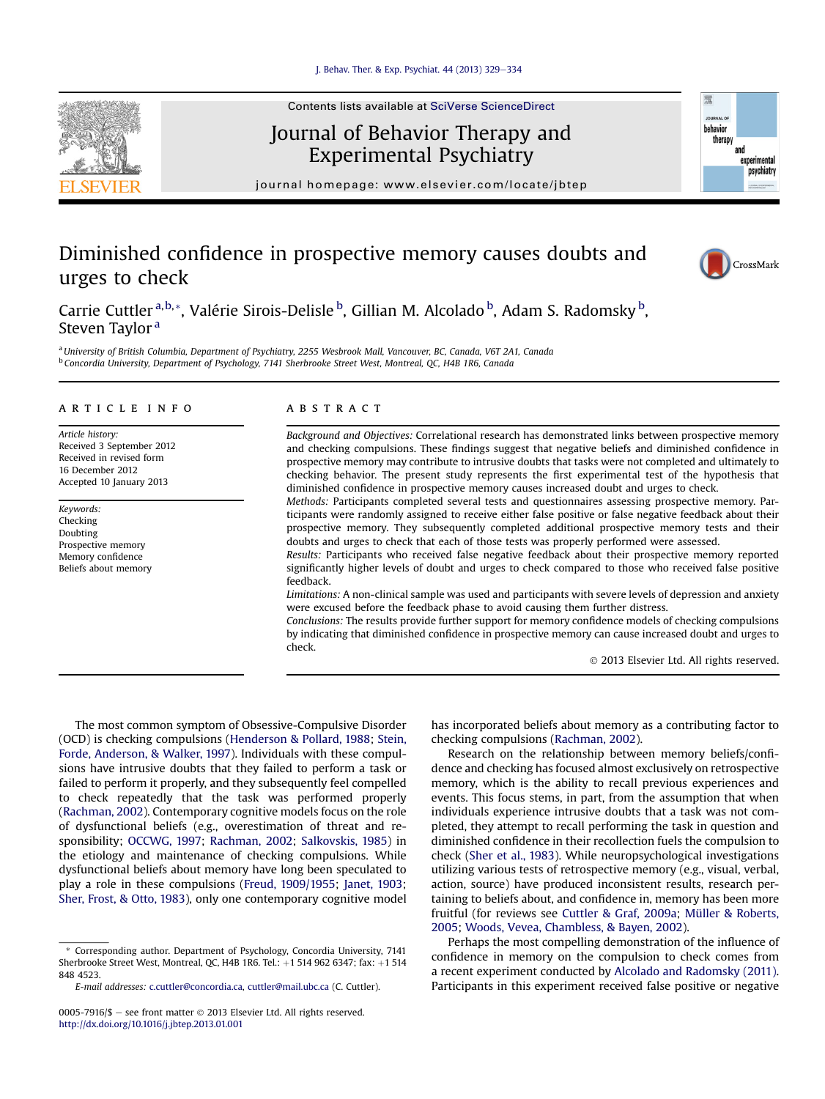

# Journal of Behavior Therapy and Experimental Psychiatry

journal homepage: [www.elsevier.com/locate/jbtep](http://www.elsevier.com/locate/jbtep)

# Diminished confidence in prospective memory causes doubts and urges to check



環

behavior therap and experimental psychiatry

Carrie Cuttler <sup>a,b,</sup>\*, Valérie Sirois-Delisle <sup>b</sup>, Gillian M. Alcolado <sup>b</sup>, Adam S. Radomsky <sup>b</sup>, Steven Taylor<sup>a</sup>

a University of British Columbia, Department of Psychiatry, 2255 Wesbrook Mall, Vancouver, BC, Canada, V6T 2A1, Canada <sup>b</sup> Concordia University, Department of Psychology, 7141 Sherbrooke Street West, Montreal, QC, H4B 1R6, Canada

### article info

Article history: Received 3 September 2012 Received in revised form 16 December 2012 Accepted 10 January 2013

Keywords: Checking Doubting Prospective memory Memory confidence Beliefs about memory

## **ABSTRACT**

Background and Objectives: Correlational research has demonstrated links between prospective memory and checking compulsions. These findings suggest that negative beliefs and diminished confidence in prospective memory may contribute to intrusive doubts that tasks were not completed and ultimately to checking behavior. The present study represents the first experimental test of the hypothesis that diminished confidence in prospective memory causes increased doubt and urges to check.

Methods: Participants completed several tests and questionnaires assessing prospective memory. Participants were randomly assigned to receive either false positive or false negative feedback about their prospective memory. They subsequently completed additional prospective memory tests and their doubts and urges to check that each of those tests was properly performed were assessed.

Results: Participants who received false negative feedback about their prospective memory reported significantly higher levels of doubt and urges to check compared to those who received false positive feedback.

Limitations: A non-clinical sample was used and participants with severe levels of depression and anxiety were excused before the feedback phase to avoid causing them further distress.

Conclusions: The results provide further support for memory confidence models of checking compulsions by indicating that diminished confidence in prospective memory can cause increased doubt and urges to check.

2013 Elsevier Ltd. All rights reserved.

The most common symptom of Obsessive-Compulsive Disorder (OCD) is checking compulsions (Henderson & Pollard, 1988; Stein, Forde, Anderson, & Walker, 1997). Individuals with these compulsions have intrusive doubts that they failed to perform a task or failed to perform it properly, and they subsequently feel compelled to check repeatedly that the task was performed properly (Rachman, 2002). Contemporary cognitive models focus on the role of dysfunctional beliefs (e.g., overestimation of threat and responsibility; OCCWG, 1997; Rachman, 2002; Salkovskis, 1985) in the etiology and maintenance of checking compulsions. While dysfunctional beliefs about memory have long been speculated to play a role in these compulsions (Freud, 1909/1955; Janet, 1903; Sher, Frost, & Otto, 1983), only one contemporary cognitive model

has incorporated beliefs about memory as a contributing factor to checking compulsions (Rachman, 2002).

Research on the relationship between memory beliefs/confidence and checking has focused almost exclusively on retrospective memory, which is the ability to recall previous experiences and events. This focus stems, in part, from the assumption that when individuals experience intrusive doubts that a task was not completed, they attempt to recall performing the task in question and diminished confidence in their recollection fuels the compulsion to check (Sher et al., 1983). While neuropsychological investigations utilizing various tests of retrospective memory (e.g., visual, verbal, action, source) have produced inconsistent results, research pertaining to beliefs about, and confidence in, memory has been more fruitful (for reviews see Cuttler & Graf, 2009a; Müller & Roberts, 2005; Woods, Vevea, Chambless, & Bayen, 2002).

Perhaps the most compelling demonstration of the influence of confidence in memory on the compulsion to check comes from a recent experiment conducted by Alcolado and Radomsky (2011). Participants in this experiment received false positive or negative

<sup>\*</sup> Corresponding author. Department of Psychology, Concordia University, 7141 Sherbrooke Street West, Montreal, QC, H4B 1R6. Tel.: +1 514 962 6347; fax: +1 514 848 4523.

E-mail addresses: [c.cuttler@concordia.ca](mailto:c.cuttler@concordia.ca), [cuttler@mail.ubc.ca](mailto:cuttler@mail.ubc.ca) (C. Cuttler).

<sup>0005-7916/\$ -</sup> see front matter  $\odot$  2013 Elsevier Ltd. All rights reserved. <http://dx.doi.org/10.1016/j.jbtep.2013.01.001>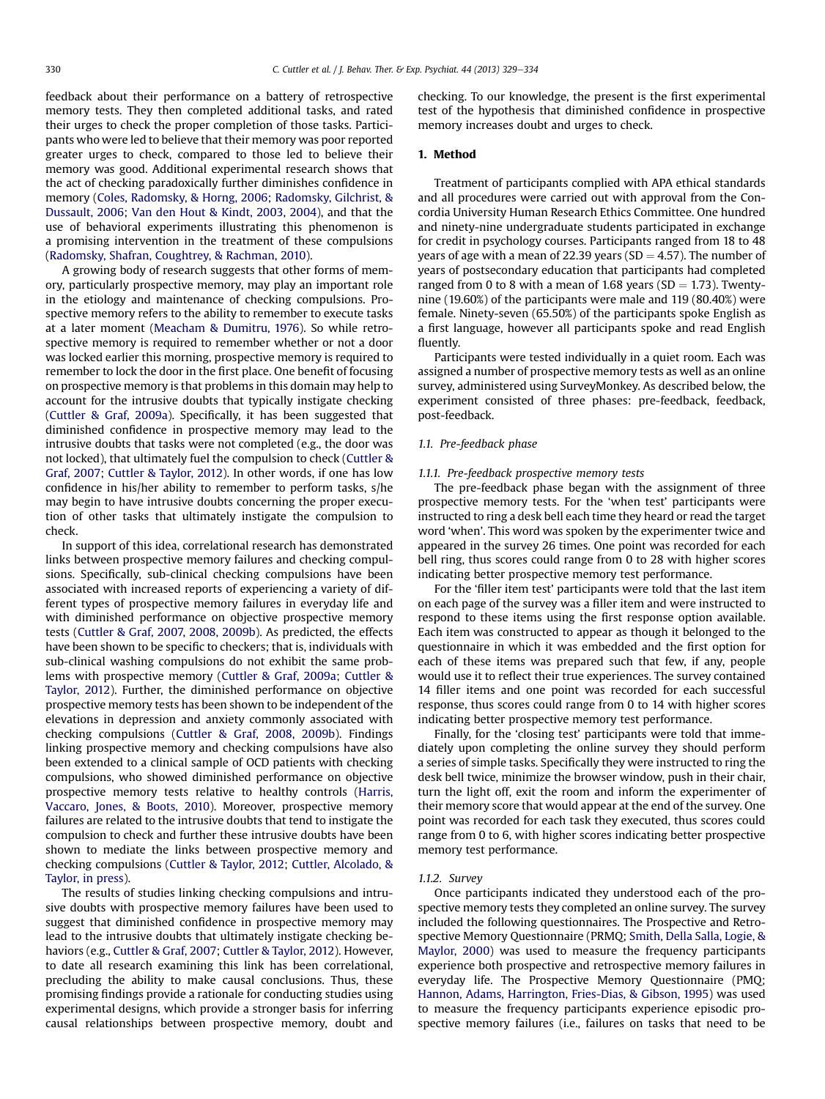feedback about their performance on a battery of retrospective memory tests. They then completed additional tasks, and rated their urges to check the proper completion of those tasks. Participants who were led to believe that their memory was poor reported greater urges to check, compared to those led to believe their memory was good. Additional experimental research shows that the act of checking paradoxically further diminishes confidence in memory (Coles, Radomsky, & Horng, 2006; Radomsky, Gilchrist, & Dussault, 2006; Van den Hout & Kindt, 2003, 2004), and that the use of behavioral experiments illustrating this phenomenon is a promising intervention in the treatment of these compulsions (Radomsky, Shafran, Coughtrey, & Rachman, 2010).

A growing body of research suggests that other forms of memory, particularly prospective memory, may play an important role in the etiology and maintenance of checking compulsions. Prospective memory refers to the ability to remember to execute tasks at a later moment (Meacham & Dumitru, 1976). So while retrospective memory is required to remember whether or not a door was locked earlier this morning, prospective memory is required to remember to lock the door in the first place. One benefit of focusing on prospective memory is that problems in this domain may help to account for the intrusive doubts that typically instigate checking (Cuttler & Graf, 2009a). Specifically, it has been suggested that diminished confidence in prospective memory may lead to the intrusive doubts that tasks were not completed (e.g., the door was not locked), that ultimately fuel the compulsion to check (Cuttler & Graf, 2007; Cuttler & Taylor, 2012). In other words, if one has low confidence in his/her ability to remember to perform tasks, s/he may begin to have intrusive doubts concerning the proper execution of other tasks that ultimately instigate the compulsion to check.

In support of this idea, correlational research has demonstrated links between prospective memory failures and checking compulsions. Specifically, sub-clinical checking compulsions have been associated with increased reports of experiencing a variety of different types of prospective memory failures in everyday life and with diminished performance on objective prospective memory tests (Cuttler & Graf, 2007, 2008, 2009b). As predicted, the effects have been shown to be specific to checkers; that is, individuals with sub-clinical washing compulsions do not exhibit the same problems with prospective memory (Cuttler & Graf, 2009a; Cuttler & Taylor, 2012). Further, the diminished performance on objective prospective memory tests has been shown to be independent of the elevations in depression and anxiety commonly associated with checking compulsions (Cuttler & Graf, 2008, 2009b). Findings linking prospective memory and checking compulsions have also been extended to a clinical sample of OCD patients with checking compulsions, who showed diminished performance on objective prospective memory tests relative to healthy controls (Harris, Vaccaro, Jones, & Boots, 2010). Moreover, prospective memory failures are related to the intrusive doubts that tend to instigate the compulsion to check and further these intrusive doubts have been shown to mediate the links between prospective memory and checking compulsions (Cuttler & Taylor, 2012; Cuttler, Alcolado, & Taylor, in press).

The results of studies linking checking compulsions and intrusive doubts with prospective memory failures have been used to suggest that diminished confidence in prospective memory may lead to the intrusive doubts that ultimately instigate checking behaviors (e.g., Cuttler & Graf, 2007; Cuttler & Taylor, 2012). However, to date all research examining this link has been correlational, precluding the ability to make causal conclusions. Thus, these promising findings provide a rationale for conducting studies using experimental designs, which provide a stronger basis for inferring causal relationships between prospective memory, doubt and checking. To our knowledge, the present is the first experimental test of the hypothesis that diminished confidence in prospective memory increases doubt and urges to check.

# 1. Method

Treatment of participants complied with APA ethical standards and all procedures were carried out with approval from the Concordia University Human Research Ethics Committee. One hundred and ninety-nine undergraduate students participated in exchange for credit in psychology courses. Participants ranged from 18 to 48 years of age with a mean of 22.39 years ( $SD = 4.57$ ). The number of years of postsecondary education that participants had completed ranged from 0 to 8 with a mean of 1.68 years (SD  $=$  1.73). Twentynine (19.60%) of the participants were male and 119 (80.40%) were female. Ninety-seven (65.50%) of the participants spoke English as a first language, however all participants spoke and read English fluently.

Participants were tested individually in a quiet room. Each was assigned a number of prospective memory tests as well as an online survey, administered using SurveyMonkey. As described below, the experiment consisted of three phases: pre-feedback, feedback, post-feedback.

## 1.1. Pre-feedback phase

### 1.1.1. Pre-feedback prospective memory tests

The pre-feedback phase began with the assignment of three prospective memory tests. For the 'when test' participants were instructed to ring a desk bell each time they heard or read the target word 'when'. This word was spoken by the experimenter twice and appeared in the survey 26 times. One point was recorded for each bell ring, thus scores could range from 0 to 28 with higher scores indicating better prospective memory test performance.

For the 'filler item test' participants were told that the last item on each page of the survey was a filler item and were instructed to respond to these items using the first response option available. Each item was constructed to appear as though it belonged to the questionnaire in which it was embedded and the first option for each of these items was prepared such that few, if any, people would use it to reflect their true experiences. The survey contained 14 filler items and one point was recorded for each successful response, thus scores could range from 0 to 14 with higher scores indicating better prospective memory test performance.

Finally, for the 'closing test' participants were told that immediately upon completing the online survey they should perform a series of simple tasks. Specifically they were instructed to ring the desk bell twice, minimize the browser window, push in their chair, turn the light off, exit the room and inform the experimenter of their memory score that would appear at the end of the survey. One point was recorded for each task they executed, thus scores could range from 0 to 6, with higher scores indicating better prospective memory test performance.

### 1.1.2. Survey

Once participants indicated they understood each of the prospective memory tests they completed an online survey. The survey included the following questionnaires. The Prospective and Retrospective Memory Questionnaire (PRMQ; Smith, Della Salla, Logie, & Maylor, 2000) was used to measure the frequency participants experience both prospective and retrospective memory failures in everyday life. The Prospective Memory Questionnaire (PMQ; Hannon, Adams, Harrington, Fries-Dias, & Gibson, 1995) was used to measure the frequency participants experience episodic prospective memory failures (i.e., failures on tasks that need to be